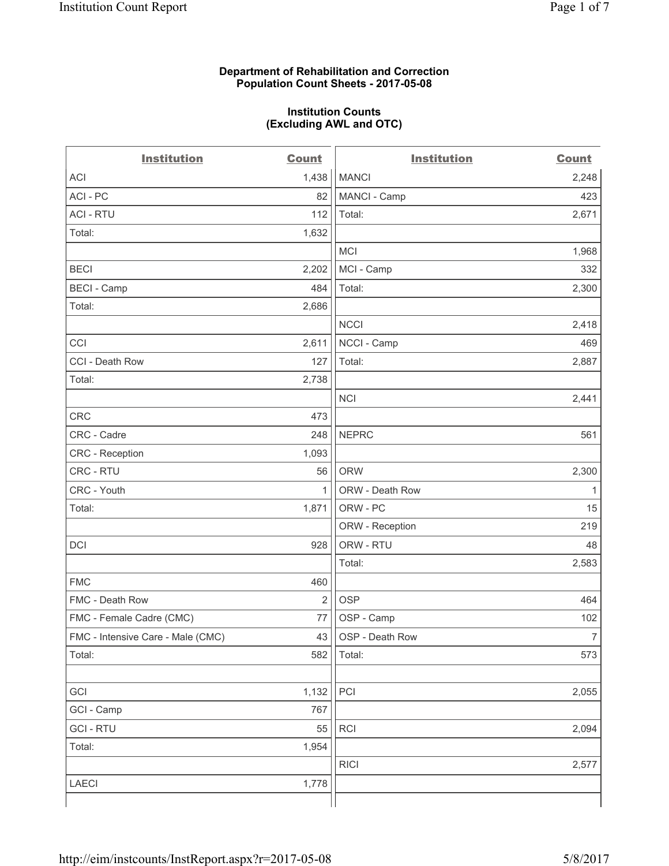## **Department of Rehabilitation and Correction Population Count Sheets - 2017-05-08**

### **Institution Counts (Excluding AWL and OTC)**

 $-$ 

| <b>Institution</b>                | <b>Count</b>   | <b>Institution</b> | <b>Count</b>   |
|-----------------------------------|----------------|--------------------|----------------|
| ACI                               | 1,438          | <b>MANCI</b>       | 2,248          |
| ACI - PC                          | 82             | MANCI - Camp       | 423            |
| <b>ACI - RTU</b>                  | 112            | Total:             | 2,671          |
| Total:                            | 1,632          |                    |                |
|                                   |                | MCI                | 1,968          |
| <b>BECI</b>                       | 2,202          | MCI - Camp         | 332            |
| <b>BECI</b> - Camp                | 484            | Total:             | 2,300          |
| Total:                            | 2,686          |                    |                |
|                                   |                | <b>NCCI</b>        | 2,418          |
| CCI                               | 2,611          | NCCI - Camp        | 469            |
| CCI - Death Row                   | 127            | Total:             | 2,887          |
| Total:                            | 2,738          |                    |                |
|                                   |                | <b>NCI</b>         | 2,441          |
| <b>CRC</b>                        | 473            |                    |                |
| CRC - Cadre                       | 248            | <b>NEPRC</b>       | 561            |
| CRC - Reception                   | 1,093          |                    |                |
| CRC - RTU                         | 56             | <b>ORW</b>         | 2,300          |
| CRC - Youth                       | $\mathbf{1}$   | ORW - Death Row    | 1              |
| Total:                            | 1,871          | ORW - PC           | 15             |
|                                   |                | ORW - Reception    | 219            |
| DCI                               | 928            | ORW - RTU          | 48             |
|                                   |                | Total:             | 2,583          |
| <b>FMC</b>                        | 460            |                    |                |
| FMC - Death Row                   | $\overline{2}$ | <b>OSP</b>         | 464            |
| FMC - Female Cadre (CMC)          | 77             | OSP - Camp         | 102            |
| FMC - Intensive Care - Male (CMC) | 43             | OSP - Death Row    | $\overline{7}$ |
| Total:                            | 582            | Total:             | 573            |
|                                   |                |                    |                |
| GCI                               | 1,132          | PCI                | 2,055          |
| GCI - Camp                        | 767            |                    |                |
| <b>GCI - RTU</b>                  | 55             | RCI                | 2,094          |
| Total:                            | 1,954          |                    |                |
|                                   |                | <b>RICI</b>        | 2,577          |
| LAECI                             | 1,778          |                    |                |
|                                   |                |                    |                |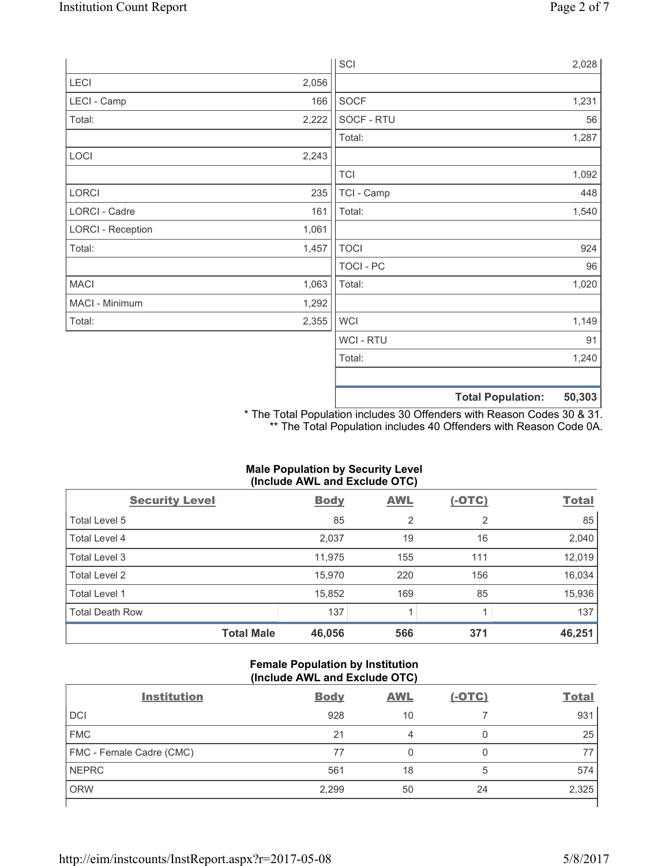|                          |       | SCI              |                          | 2,028  |
|--------------------------|-------|------------------|--------------------------|--------|
| LECI                     | 2,056 |                  |                          |        |
| LECI - Camp              | 166   | SOCF             |                          | 1,231  |
| Total:                   | 2,222 | SOCF - RTU       |                          | 56     |
|                          |       | Total:           |                          | 1,287  |
| LOCI                     | 2,243 |                  |                          |        |
|                          |       | <b>TCI</b>       |                          | 1,092  |
| LORCI                    | 235   | TCI - Camp       |                          | 448    |
| LORCI - Cadre            | 161   | Total:           |                          | 1,540  |
| <b>LORCI - Reception</b> | 1,061 |                  |                          |        |
| Total:                   | 1,457 | <b>TOCI</b>      |                          | 924    |
|                          |       | <b>TOCI - PC</b> |                          | 96     |
| <b>MACI</b>              | 1,063 | Total:           |                          | 1,020  |
| MACI - Minimum           | 1,292 |                  |                          |        |
| Total:                   | 2,355 | <b>WCI</b>       |                          | 1,149  |
|                          |       | WCI - RTU        |                          | 91     |
|                          |       | Total:           |                          | 1,240  |
|                          |       |                  |                          |        |
|                          |       |                  | <b>Total Population:</b> | 50,303 |

\* The Total Population includes 30 Offenders with Reason Codes 30 & 31. \*\* The Total Population includes 40 Offenders with Reason Code 0A.

# **Male Population by Security Level (Include AWL and Exclude OTC)**

| $\mathbf{v}$<br><b>Security Level</b> | <b>Body</b> | $\mathbf{r}$<br><b>AWL</b> | $(-OTC)$       | <b>Total</b> |
|---------------------------------------|-------------|----------------------------|----------------|--------------|
| Total Level 5                         | 85          | $\overline{2}$             | $\overline{2}$ | 85           |
| Total Level 4                         | 2,037       | 19                         | 16             | 2,040        |
| Total Level 3                         | 11,975      | 155                        | 111            | 12,019       |
| Total Level 2                         | 15,970      | 220                        | 156            | 16,034       |
| Total Level 1                         | 15,852      | 169                        | 85             | 15,936       |
| <b>Total Death Row</b>                | 137         |                            |                | 137          |
| <b>Total Male</b>                     | 46,056      | 566                        | 371            | 46,251       |

## **Female Population by Institution (Include AWL and Exclude OTC)**

| <b>Institution</b>       | <b>Body</b> | <b>AWL</b> | <u>(-OTC)</u> | <b>Total</b> |
|--------------------------|-------------|------------|---------------|--------------|
| <b>DCI</b>               | 928         | 10         |               | 931          |
| <b>FMC</b>               | 21          |            | U             | 25           |
| FMC - Female Cadre (CMC) | 77          |            |               |              |
| <b>NEPRC</b>             | 561         | 18         | 5             | 574          |
| <b>ORW</b>               | 2,299       | 50         | 24            | 2,325        |
|                          |             |            |               |              |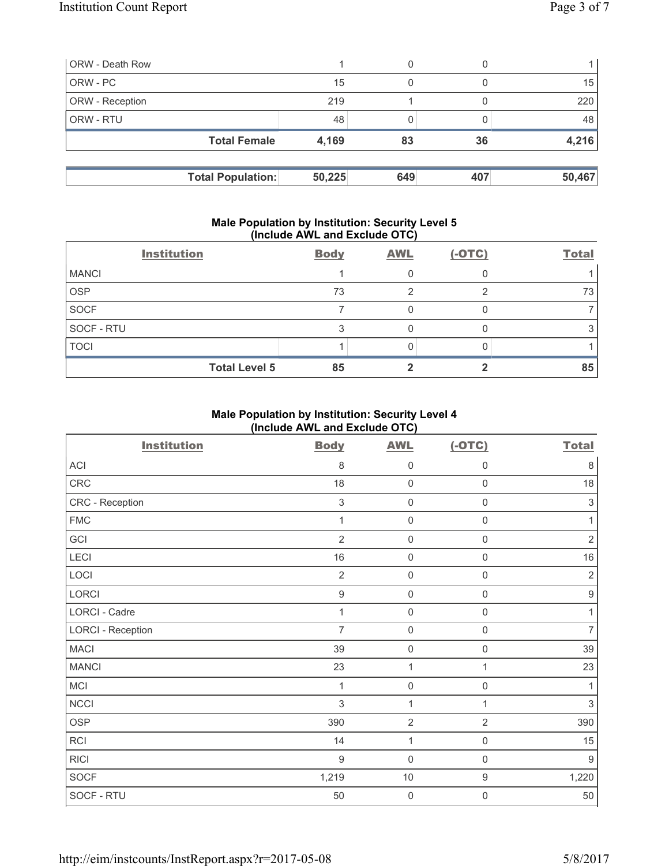| <b>ORW</b> - Death Row   |        | 0   |     |        |
|--------------------------|--------|-----|-----|--------|
| ORW - PC                 | 15     | 0   |     | 15     |
| <b>ORW</b> - Reception   | 219    |     |     | 220    |
| <b>ORW - RTU</b>         | 48     |     |     | 48     |
| <b>Total Female</b>      | 4,169  | 83  | 36  | 4,216  |
|                          |        |     |     |        |
| <b>Total Population:</b> | 50,225 | 649 | 407 | 50,467 |

#### **Male Population by Institution: Security Level 5 (Include AWL and Exclude OTC)**

|              | <b>Institution</b>   | <b>Body</b> | <b>AWL</b> | $(-OTC)$ | <b>Total</b> |
|--------------|----------------------|-------------|------------|----------|--------------|
| <b>MANCI</b> |                      |             |            |          |              |
| <b>OSP</b>   |                      | 73          |            |          | 73           |
| <b>SOCF</b>  |                      |             |            |          |              |
| SOCF - RTU   |                      |             |            |          |              |
| <b>TOCI</b>  |                      |             |            |          |              |
|              | <b>Total Level 5</b> | 85          |            |          | 85           |

# **Male Population by Institution: Security Level 4 (Include AWL and Exclude OTC)**

| <b>Institution</b>       | <b>Body</b>      | <b>AWL</b>          | $(-OTC)$            | <b>Total</b>     |
|--------------------------|------------------|---------------------|---------------------|------------------|
| ACI                      | 8                | $\mathbf 0$         | 0                   | 8                |
| CRC                      | 18               | $\mathbf 0$         | $\mathsf{O}\xspace$ | 18               |
| CRC - Reception          | $\sqrt{3}$       | $\mathsf 0$         | $\mathsf{O}\xspace$ | $\,$ 3 $\,$      |
| <b>FMC</b>               | 1                | $\mathbf 0$         | 0                   | 1                |
| GCI                      | $\overline{2}$   | $\mathbf 0$         | 0                   | $\overline{2}$   |
| LECI                     | 16               | $\mathbf 0$         | $\mathsf 0$         | 16               |
| LOCI                     | $\overline{2}$   | $\mathbf 0$         | $\mathsf 0$         | $\overline{2}$   |
| LORCI                    | $\boldsymbol{9}$ | $\mathbf 0$         | $\mathbf 0$         | $\boldsymbol{9}$ |
| <b>LORCI - Cadre</b>     | 1                | $\mathbf 0$         | $\mathsf 0$         | 1                |
| <b>LORCI - Reception</b> | $\overline{7}$   | $\mathsf{O}\xspace$ | $\mathsf{O}\xspace$ | $\overline{7}$   |
| <b>MACI</b>              | 39               | $\mathsf 0$         | $\mathbf 0$         | 39               |
| <b>MANCI</b>             | 23               | $\mathbf{1}$        | 1                   | 23               |
| MCI                      | 1                | $\mathbf 0$         | $\mathbf 0$         | 1                |
| <b>NCCI</b>              | $\mathfrak{S}$   | $\mathbf{1}$        | $\mathbf{1}$        | 3                |
| <b>OSP</b>               | 390              | $\overline{2}$      | $\overline{2}$      | 390              |
| RCI                      | 14               | $\mathbf{1}$        | $\mathsf{O}\xspace$ | 15               |
| <b>RICI</b>              | $9\,$            | $\mathbf 0$         | $\mathsf{O}\xspace$ | $9\,$            |
| <b>SOCF</b>              | 1,219            | $10$                | $\boldsymbol{9}$    | 1,220            |
| SOCF - RTU               | 50               | $\mathbf 0$         | 0                   | $50\,$           |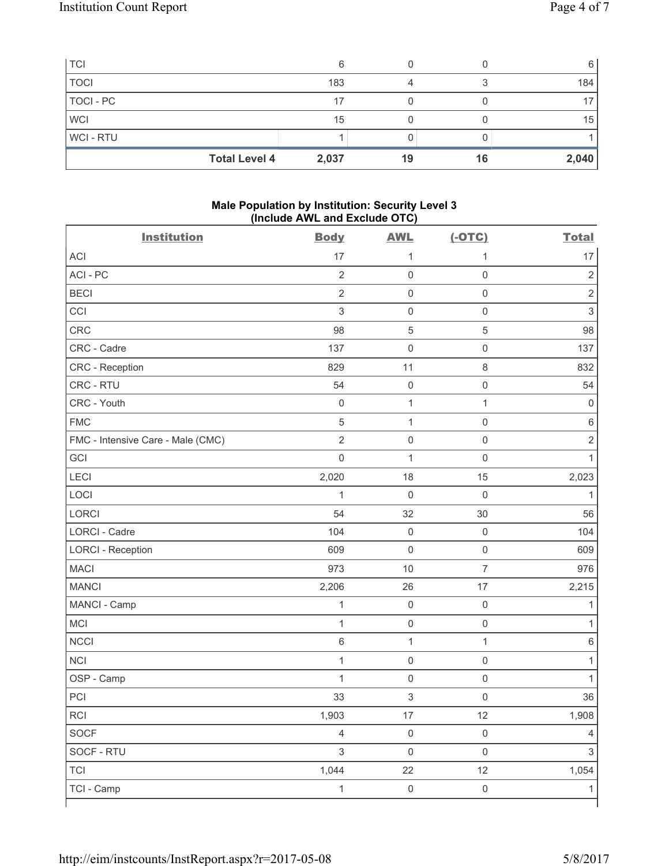| <b>TCI</b>  |                      | 6     |    |    | 6               |
|-------------|----------------------|-------|----|----|-----------------|
| <b>TOCI</b> |                      | 183   |    |    | 184             |
| TOCI - PC   |                      | 17    |    |    | 17 <sub>1</sub> |
| <b>WCI</b>  |                      | 15    |    |    | 15              |
| WCI-RTU     |                      |       |    |    |                 |
|             | <b>Total Level 4</b> | 2,037 | 19 | 16 | 2,040           |

## **Male Population by Institution: Security Level 3 (Include AWL and Exclude OTC)**

| <b>Institution</b>                | <b>Body</b>         | <b>AWL</b>          | $(-OTC)$            | <b>Total</b>   |
|-----------------------------------|---------------------|---------------------|---------------------|----------------|
| <b>ACI</b>                        | 17                  | 1                   | 1                   | 17             |
| ACI-PC                            | $\overline{2}$      | $\mathbf 0$         | $\mathsf 0$         | $\sqrt{2}$     |
| <b>BECI</b>                       | $\overline{2}$      | $\mathbf 0$         | $\mathsf 0$         | $\overline{2}$ |
| CCI                               | $\mathsf 3$         | $\mathsf{O}\xspace$ | $\mathsf 0$         | $\sqrt{3}$     |
| <b>CRC</b>                        | 98                  | $\,$ 5 $\,$         | $\overline{5}$      | 98             |
| CRC - Cadre                       | 137                 | $\mathsf{O}\xspace$ | $\mathsf 0$         | 137            |
| CRC - Reception                   | 829                 | 11                  | $\,8\,$             | 832            |
| CRC - RTU                         | 54                  | $\mathsf{O}\xspace$ | $\mathsf 0$         | 54             |
| CRC - Youth                       | $\mathsf 0$         | $\mathbf 1$         | 1                   | 0              |
| <b>FMC</b>                        | $\sqrt{5}$          | $\mathbf{1}$        | $\mathsf{O}\xspace$ | $\,6$          |
| FMC - Intensive Care - Male (CMC) | $\overline{2}$      | $\mathbf 0$         | $\mathsf{O}\xspace$ | $\mathbf 2$    |
| GCI                               | $\mathsf{O}\xspace$ | $\mathbf{1}$        | $\mathsf 0$         | $\mathbf{1}$   |
| LECI                              | 2,020               | 18                  | 15                  | 2,023          |
| LOCI                              | 1                   | $\mathbf 0$         | $\mathbf 0$         | 1              |
| <b>LORCI</b>                      | 54                  | 32                  | 30                  | 56             |
| LORCI - Cadre                     | 104                 | $\mathsf{O}\xspace$ | $\mathsf 0$         | 104            |
| <b>LORCI - Reception</b>          | 609                 | $\mathsf{O}\xspace$ | $\mathsf{O}\xspace$ | 609            |
| <b>MACI</b>                       | 973                 | 10                  | $\overline{7}$      | 976            |
| <b>MANCI</b>                      | 2,206               | 26                  | 17                  | 2,215          |
| MANCI - Camp                      | $\mathbf 1$         | $\mathsf{O}\xspace$ | $\mathsf 0$         | 1              |
| MCI                               | $\mathbf{1}$        | $\mathsf{O}\xspace$ | $\mathsf 0$         | 1              |
| <b>NCCI</b>                       | 6                   | $\mathbf{1}$        | $\mathbf{1}$        | $\,6$          |
| <b>NCI</b>                        | $\mathbf 1$         | $\mathsf{O}\xspace$ | $\mathsf 0$         | 1              |
| OSP - Camp                        | $\mathbf{1}$        | $\mathsf{O}\xspace$ | $\mathsf 0$         | 1              |
| PCI                               | 33                  | $\mathsf 3$         | $\mathbf 0$         | 36             |
| RCI                               | 1,903               | $17\,$              | 12                  | 1,908          |
| SOCF                              | $\overline{4}$      | $\mathsf{O}\xspace$ | $\mathsf 0$         | 4              |
| SOCF - RTU                        | $\mathfrak{S}$      | $\mathsf{O}\xspace$ | $\mathsf{O}\xspace$ | $\mathfrak{S}$ |
| <b>TCI</b>                        | 1,044               | 22                  | 12                  | 1,054          |
| TCI - Camp                        | $\mathbf{1}$        | $\mathsf{O}\xspace$ | $\mathsf{O}\xspace$ | 1              |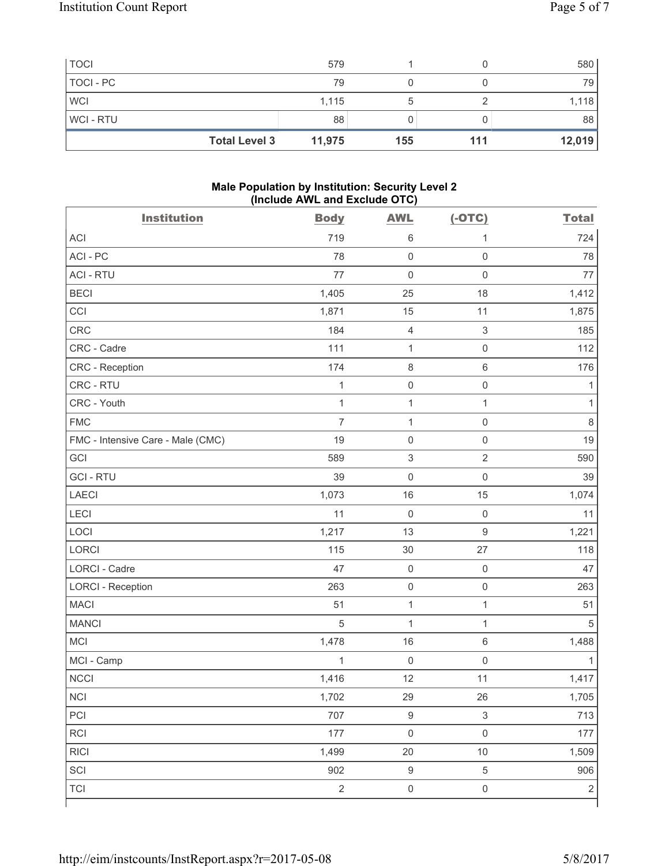| <b>TOCI</b>          | 579    |     |     | 580    |
|----------------------|--------|-----|-----|--------|
| TOCI - PC            | 79     |     |     | 79     |
| <b>WCI</b>           | 1,115  |     |     | 1,118  |
| WCI-RTU              | 88     |     |     | 88     |
| <b>Total Level 3</b> | 11,975 | 155 | 111 | 12,019 |

## **Male Population by Institution: Security Level 2 (Include AWL and Exclude OTC)**

| <b>Institution</b>                | <b>Body</b>    | <b>AWL</b>                | $(-OTC)$                  | <b>Total</b> |
|-----------------------------------|----------------|---------------------------|---------------------------|--------------|
| <b>ACI</b>                        | 719            | 6                         | 1                         | 724          |
| ACI-PC                            | 78             | $\mathbf 0$               | $\mathsf{O}\xspace$       | 78           |
| <b>ACI - RTU</b>                  | 77             | $\mathbf 0$               | $\mathsf 0$               | 77           |
| <b>BECI</b>                       | 1,405          | 25                        | 18                        | 1,412        |
| CCI                               | 1,871          | 15                        | 11                        | 1,875        |
| CRC                               | 184            | $\overline{4}$            | $\mathfrak{Z}$            | 185          |
| CRC - Cadre                       | 111            | $\mathbf 1$               | $\mathsf 0$               | 112          |
| CRC - Reception                   | 174            | $\,8\,$                   | $\,6\,$                   | 176          |
| CRC - RTU                         | $\mathbf{1}$   | $\mathsf{O}\xspace$       | $\mathsf 0$               | 1            |
| CRC - Youth                       | $\mathbf{1}$   | $\mathbf{1}$              | $\mathbf{1}$              | $\mathbf{1}$ |
| <b>FMC</b>                        | $\overline{7}$ | $\mathbf{1}$              | $\mathsf 0$               | 8            |
| FMC - Intensive Care - Male (CMC) | 19             | $\mathsf{O}\xspace$       | $\mathsf{O}\xspace$       | 19           |
| GCI                               | 589            | $\ensuremath{\mathsf{3}}$ | $\sqrt{2}$                | 590          |
| <b>GCI-RTU</b>                    | 39             | $\mathbf 0$               | $\mathbf 0$               | 39           |
| <b>LAECI</b>                      | 1,073          | 16                        | 15                        | 1,074        |
| <b>LECI</b>                       | 11             | $\mathsf{O}\xspace$       | $\mathsf 0$               | 11           |
| LOCI                              | 1,217          | 13                        | $\mathsf g$               | 1,221        |
| <b>LORCI</b>                      | 115            | 30                        | 27                        | 118          |
| <b>LORCI - Cadre</b>              | 47             | $\mathsf{O}\xspace$       | $\mathsf 0$               | 47           |
| <b>LORCI - Reception</b>          | 263            | $\mathsf 0$               | $\mathsf 0$               | 263          |
| <b>MACI</b>                       | 51             | $\mathbf{1}$              | $\mathbf{1}$              | 51           |
| <b>MANCI</b>                      | 5              | $\mathbf 1$               | $\mathbf{1}$              | $\sqrt{5}$   |
| MCI                               | 1,478          | 16                        | $\,6\,$                   | 1,488        |
| MCI - Camp                        | $\mathbf 1$    | $\mathbf 0$               | $\mathbf 0$               | 1            |
| <b>NCCI</b>                       | 1,416          | 12                        | 11                        | 1,417        |
| NCI                               | 1,702          | 29                        | 26                        | 1,705        |
| PCI                               | 707            | $\boldsymbol{9}$          | $\ensuremath{\mathsf{3}}$ | 713          |
| RCI                               | 177            | $\mathsf{O}\xspace$       | $\mathsf 0$               | 177          |
| <b>RICI</b>                       | 1,499          | $20\,$                    | $10$                      | 1,509        |
| SCI                               | 902            | $\boldsymbol{9}$          | $\sqrt{5}$                | 906          |
| <b>TCI</b>                        | $\overline{2}$ | $\mathsf{O}\xspace$       | $\mathsf{O}\xspace$       | $\sqrt{2}$   |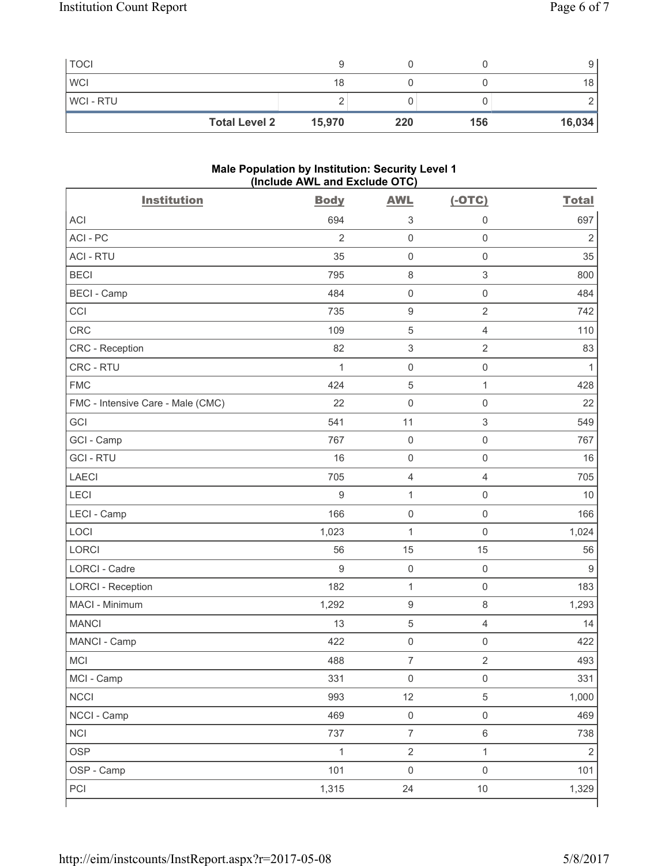| <b>TOCI</b>          |        |     |     |                 |
|----------------------|--------|-----|-----|-----------------|
| <b>WCI</b>           | 18     |     |     | 18 <sup>1</sup> |
| <b>WCI-RTU</b>       |        |     |     |                 |
| <b>Total Level 2</b> | 15,970 | 220 | 156 | 16,034          |

#### **Male Population by Institution: Security Level 1 (Include AWL and Exclude OTC)**

| <b>Institution</b>                | <b>Body</b>    | <b>AWL</b>                | $(-OTC)$                  | <b>Total</b>   |
|-----------------------------------|----------------|---------------------------|---------------------------|----------------|
| <b>ACI</b>                        | 694            | $\ensuremath{\mathsf{3}}$ | $\boldsymbol{0}$          | 697            |
| ACI - PC                          | $\overline{2}$ | $\mathsf 0$               | $\mathsf{O}\xspace$       | $\overline{2}$ |
| <b>ACI - RTU</b>                  | 35             | $\mathsf{O}\xspace$       | $\mathsf{O}\xspace$       | 35             |
| <b>BECI</b>                       | 795            | $\,8\,$                   | $\sqrt{3}$                | 800            |
| <b>BECI - Camp</b>                | 484            | $\mathsf 0$               | $\mathsf{O}\xspace$       | 484            |
| CCI                               | 735            | $\boldsymbol{9}$          | $\overline{2}$            | 742            |
| <b>CRC</b>                        | 109            | $\sqrt{5}$                | $\overline{4}$            | 110            |
| CRC - Reception                   | 82             | $\,$ 3 $\,$               | $\overline{2}$            | 83             |
| CRC - RTU                         | $\mathbf{1}$   | $\mathsf 0$               | $\mathsf{O}\xspace$       | $\mathbf{1}$   |
| <b>FMC</b>                        | 424            | $\mathbf 5$               | $\mathbf{1}$              | 428            |
| FMC - Intensive Care - Male (CMC) | 22             | $\mathsf{O}\xspace$       | $\mathsf 0$               | 22             |
| GCI                               | 541            | 11                        | $\ensuremath{\mathsf{3}}$ | 549            |
| GCI - Camp                        | 767            | $\mathsf{O}\xspace$       | $\mathsf{O}\xspace$       | 767            |
| <b>GCI-RTU</b>                    | 16             | $\mathsf{O}\xspace$       | $\mathsf{O}\xspace$       | 16             |
| <b>LAECI</b>                      | 705            | $\overline{4}$            | $\overline{4}$            | 705            |
| LECI                              | 9              | $\mathbf{1}$              | $\mathsf 0$               | 10             |
| LECI - Camp                       | 166            | $\mathsf 0$               | $\mathsf 0$               | 166            |
| LOCI                              | 1,023          | $\mathbf{1}$              | $\mathbf 0$               | 1,024          |
| <b>LORCI</b>                      | 56             | 15                        | 15                        | 56             |
| <b>LORCI - Cadre</b>              | 9              | $\mathsf 0$               | $\mathbf 0$               | 9              |
| <b>LORCI - Reception</b>          | 182            | $\mathbf{1}$              | $\mathsf 0$               | 183            |
| MACI - Minimum                    | 1,292          | $\boldsymbol{9}$          | 8                         | 1,293          |
| <b>MANCI</b>                      | 13             | $\sqrt{5}$                | $\overline{4}$            | 14             |
| MANCI - Camp                      | 422            | $\mathsf 0$               | $\mathsf{O}\xspace$       | 422            |
| MCI                               | 488            | $\overline{\mathcal{I}}$  | $\sqrt{2}$                | 493            |
| MCI - Camp                        | 331            | $\mathsf{O}\xspace$       | $\mathsf{O}\xspace$       | 331            |
| <b>NCCI</b>                       | 993            | 12                        | $\,$ 5 $\,$               | 1,000          |
| NCCI - Camp                       | 469            | $\mathsf{O}\xspace$       | $\mathsf{O}\xspace$       | 469            |
| <b>NCI</b>                        | 737            | $\overline{7}$            | $\,6\,$                   | 738            |
| <b>OSP</b>                        | $\mathbf{1}$   | $\overline{2}$            | $\mathbf{1}$              | $\overline{2}$ |
| OSP - Camp                        | 101            | $\mathsf{O}\xspace$       | $\mathsf{O}\xspace$       | 101            |
| PCI                               | 1,315          | 24                        | 10                        | 1,329          |